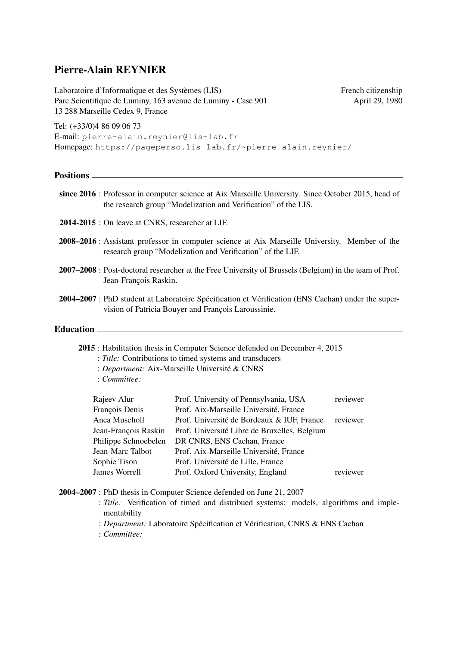# Pierre-Alain REYNIER

Laboratoire d'Informatique et des Systèmes (LIS) French citizenship Parc Scientifique de Luminy, 163 avenue de Luminy - Case 901 April 29, 1980 13 288 Marseille Cedex 9, France

Tel: (+33/0)4 86 09 06 73 E-mail: pierre-alain.reynier@lis-lab.fr Homepage: https://pageperso.lis-lab.fr/~pierre-alain.reynier/

#### **Positions**

- since 2016 : Professor in computer science at Aix Marseille University. Since October 2015, head of the research group "Modelization and Verification" of the LIS.
- 2014-2015 : On leave at CNRS, researcher at LIF.
- 2008–2016 : Assistant professor in computer science at Aix Marseille University. Member of the research group "Modelization and Verification" of the LIF.
- 2007–2008 : Post-doctoral researcher at the Free University of Brussels (Belgium) in the team of Prof. Jean-François Raskin.
- 2004–2007 : PhD student at Laboratoire Spécification et Vérification (ENS Cachan) under the supervision of Patricia Bouyer and François Laroussinie.

#### Education \_\_\_\_\_\_

2015 : Habilitation thesis in Computer Science defended on December 4, 2015

- : *Title:* Contributions to timed systems and transducers
- : *Department:* Aix-Marseille Université & CNRS
- : *Committee:*

| Prof. University of Pennsylvania, USA        | reviewer |
|----------------------------------------------|----------|
| Prof. Aix-Marseille Université, France       |          |
| Prof. Université de Bordeaux & IUF, France   | reviewer |
| Prof. Université Libre de Bruxelles, Belgium |          |
| DR CNRS, ENS Cachan, France                  |          |
| Prof. Aix-Marseille Université, France       |          |
| Prof. Université de Lille, France            |          |
| Prof. Oxford University, England             | reviewer |
|                                              |          |

- 2004–2007 : PhD thesis in Computer Science defended on June 21, 2007
	- : *Title:* Verification of timed and distribued systems: models, algorithms and implementability
	- : *Department:* Laboratoire Spécification et Vérification, CNRS & ENS Cachan
	- : *Committee:*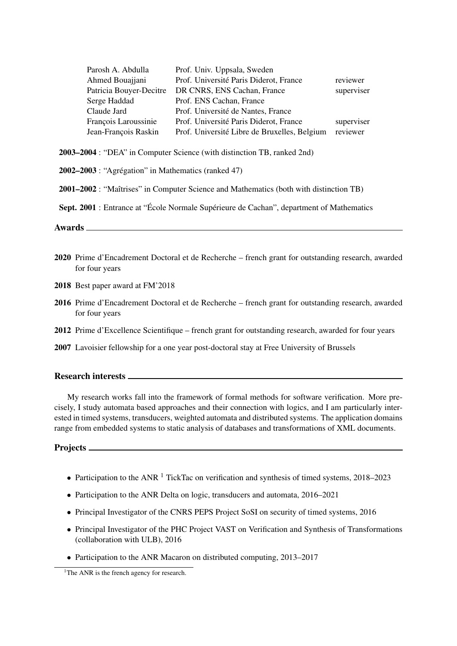| Parosh A. Abdulla       | Prof. Univ. Uppsala, Sweden                  |            |
|-------------------------|----------------------------------------------|------------|
| Ahmed Bouajjani         | Prof. Université Paris Diderot, France       | reviewer   |
| Patricia Bouyer-Decitre | DR CNRS, ENS Cachan, France                  | superviser |
| Serge Haddad            | Prof. ENS Cachan, France                     |            |
| Claude Jard             | Prof. Université de Nantes, France           |            |
| François Laroussinie    | Prof. Université Paris Diderot, France       | superviser |
| Jean-François Raskin    | Prof. Université Libre de Bruxelles, Belgium | reviewer   |

2003–2004 : "DEA" in Computer Science (with distinction TB, ranked 2nd)

| 2002–2003 : "Agrégation" in Mathematics (ranked 47) |  |  |
|-----------------------------------------------------|--|--|
|-----------------------------------------------------|--|--|

2001–2002 : "Maîtrises" in Computer Science and Mathematics (both with distinction TB)

Sept. 2001 : Entrance at "École Normale Supérieure de Cachan", department of Mathematics

Awards

- 2020 Prime d'Encadrement Doctoral et de Recherche french grant for outstanding research, awarded for four years
- 2018 Best paper award at FM'2018
- 2016 Prime d'Encadrement Doctoral et de Recherche french grant for outstanding research, awarded for four years
- 2012 Prime d'Excellence Scientifique french grant for outstanding research, awarded for four years
- 2007 Lavoisier fellowship for a one year post-doctoral stay at Free University of Brussels

#### Research interests

My research works fall into the framework of formal methods for software verification. More precisely, I study automata based approaches and their connection with logics, and I am particularly interested in timed systems, transducers, weighted automata and distributed systems. The application domains range from embedded systems to static analysis of databases and transformations of XML documents.

Projects <u>\_\_</u>

- Participation to the ANR  $<sup>1</sup>$  TickTac on verification and synthesis of timed systems, 2018–2023</sup>
- Participation to the ANR Delta on logic, transducers and automata, 2016–2021
- Principal Investigator of the CNRS PEPS Project SoSI on security of timed systems, 2016
- Principal Investigator of the PHC Project VAST on Verification and Synthesis of Transformations (collaboration with ULB), 2016
- Participation to the ANR Macaron on distributed computing, 2013–2017

<sup>&</sup>lt;sup>1</sup>The ANR is the french agency for research.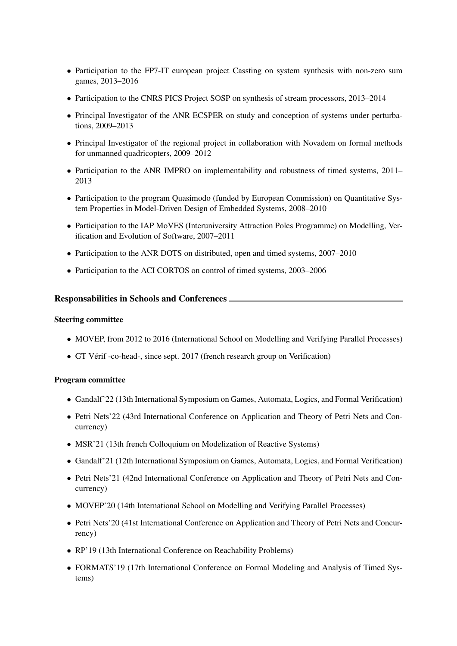- Participation to the FP7-IT european project Cassting on system synthesis with non-zero sum games, 2013–2016
- Participation to the CNRS PICS Project SOSP on synthesis of stream processors, 2013–2014
- Principal Investigator of the ANR ECSPER on study and conception of systems under perturbations, 2009–2013
- Principal Investigator of the regional project in collaboration with Novadem on formal methods for unmanned quadricopters, 2009–2012
- Participation to the ANR IMPRO on implementability and robustness of timed systems, 2011– 2013
- Participation to the program Quasimodo (funded by European Commission) on Quantitative System Properties in Model-Driven Design of Embedded Systems, 2008–2010
- Participation to the IAP MoVES (Interuniversity Attraction Poles Programme) on Modelling, Verification and Evolution of Software, 2007–2011
- Participation to the ANR DOTS on distributed, open and timed systems, 2007–2010
- Participation to the ACI CORTOS on control of timed systems, 2003–2006

## Responsabilities in Schools and Conferences

## Steering committee

- MOVEP, from 2012 to 2016 (International School on Modelling and Verifying Parallel Processes)
- GT Vérif -co-head-, since sept. 2017 (french research group on Verification)

## Program committee

- Gandalf'22 (13th International Symposium on Games, Automata, Logics, and Formal Verification)
- Petri Nets'22 (43rd International Conference on Application and Theory of Petri Nets and Concurrency)
- MSR'21 (13th french Colloquium on Modelization of Reactive Systems)
- Gandalf'21 (12th International Symposium on Games, Automata, Logics, and Formal Verification)
- Petri Nets'21 (42nd International Conference on Application and Theory of Petri Nets and Concurrency)
- MOVEP'20 (14th International School on Modelling and Verifying Parallel Processes)
- Petri Nets'20 (41st International Conference on Application and Theory of Petri Nets and Concurrency)
- RP'19 (13th International Conference on Reachability Problems)
- FORMATS'19 (17th International Conference on Formal Modeling and Analysis of Timed Systems)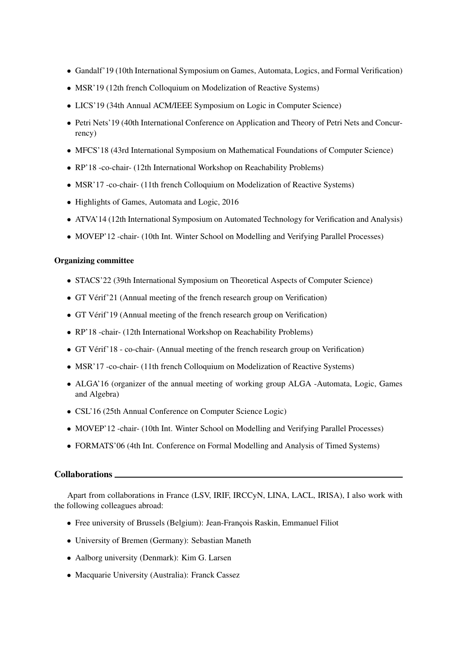- Gandalf'19 (10th International Symposium on Games, Automata, Logics, and Formal Verification)
- MSR'19 (12th french Colloquium on Modelization of Reactive Systems)
- LICS'19 (34th Annual ACM/IEEE Symposium on Logic in Computer Science)
- Petri Nets'19 (40th International Conference on Application and Theory of Petri Nets and Concurrency)
- MFCS'18 (43rd International Symposium on Mathematical Foundations of Computer Science)
- RP'18 -co-chair- (12th International Workshop on Reachability Problems)
- MSR'l 7-co-chair- (11th french Colloquium on Modelization of Reactive Systems)
- Highlights of Games, Automata and Logic, 2016
- ATVA'14 (12th International Symposium on Automated Technology for Verification and Analysis)
- MOVEP'12 -chair- (10th Int. Winter School on Modelling and Verifying Parallel Processes)

#### Organizing committee

- STACS'22 (39th International Symposium on Theoretical Aspects of Computer Science)
- GT Vérif'21 (Annual meeting of the french research group on Verification)
- GT Vérif'19 (Annual meeting of the french research group on Verification)
- RP'18 -chair- (12th International Workshop on Reachability Problems)
- GT Vérif'18 co-chair- (Annual meeting of the french research group on Verification)
- MSR'17 -co-chair- (11th french Colloquium on Modelization of Reactive Systems)
- ALGA'16 (organizer of the annual meeting of working group ALGA -Automata, Logic, Games and Algebra)
- CSL'16 (25th Annual Conference on Computer Science Logic)
- MOVEP'12 -chair- (10th Int. Winter School on Modelling and Verifying Parallel Processes)
- FORMATS'06 (4th Int. Conference on Formal Modelling and Analysis of Timed Systems)

## Collaborations

Apart from collaborations in France (LSV, IRIF, IRCCyN, LINA, LACL, IRISA), I also work with the following colleagues abroad:

- Free university of Brussels (Belgium): Jean-François Raskin, Emmanuel Filiot
- University of Bremen (Germany): Sebastian Maneth
- Aalborg university (Denmark): Kim G. Larsen
- Macquarie University (Australia): Franck Cassez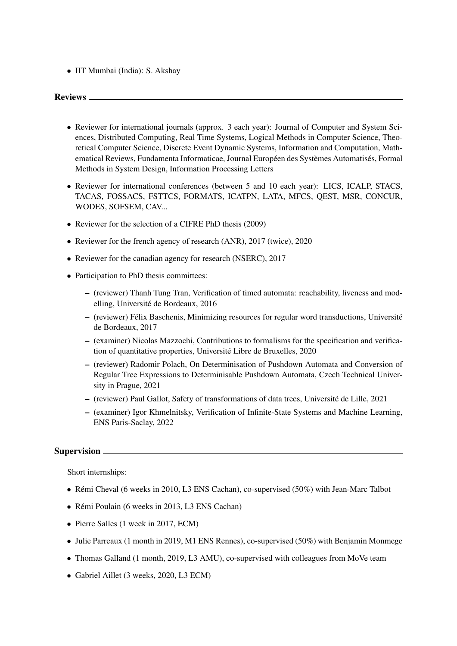• IIT Mumbai (India): S. Akshay

## Reviews

- Reviewer for international journals (approx. 3 each year): Journal of Computer and System Sciences, Distributed Computing, Real Time Systems, Logical Methods in Computer Science, Theoretical Computer Science, Discrete Event Dynamic Systems, Information and Computation, Mathematical Reviews, Fundamenta Informaticae, Journal Européen des Systèmes Automatisés, Formal Methods in System Design, Information Processing Letters
- Reviewer for international conferences (between 5 and 10 each year): LICS, ICALP, STACS, TACAS, FOSSACS, FSTTCS, FORMATS, ICATPN, LATA, MFCS, QEST, MSR, CONCUR, WODES, SOFSEM, CAV...
- Reviewer for the selection of a CIFRE PhD thesis (2009)
- Reviewer for the french agency of research (ANR), 2017 (twice), 2020
- Reviewer for the canadian agency for research (NSERC), 2017
- Participation to PhD thesis committees:
	- (reviewer) Thanh Tung Tran, Verification of timed automata: reachability, liveness and modelling, Université de Bordeaux, 2016
	- (reviewer) Félix Baschenis, Minimizing resources for regular word transductions, Université de Bordeaux, 2017
	- (examiner) Nicolas Mazzochi, Contributions to formalisms for the specification and verification of quantitative properties, Université Libre de Bruxelles, 2020
	- (reviewer) Radomir Polach, On Determinisation of Pushdown Automata and Conversion of Regular Tree Expressions to Determinisable Pushdown Automata, Czech Technical University in Prague, 2021
	- (reviewer) Paul Gallot, Safety of transformations of data trees, Université de Lille, 2021
	- (examiner) Igor Khmelnitsky, Verification of Infinite-State Systems and Machine Learning, ENS Paris-Saclay, 2022

## Supervision  $\equiv$

Short internships:

- Rémi Cheval (6 weeks in 2010, L3 ENS Cachan), co-supervised (50%) with Jean-Marc Talbot
- Rémi Poulain (6 weeks in 2013, L3 ENS Cachan)
- Pierre Salles (1 week in 2017, ECM)
- Julie Parreaux (1 month in 2019, M1 ENS Rennes), co-supervised (50%) with Benjamin Monmege
- Thomas Galland (1 month, 2019, L3 AMU), co-supervised with colleagues from MoVe team
- Gabriel Aillet (3 weeks, 2020, L3 ECM)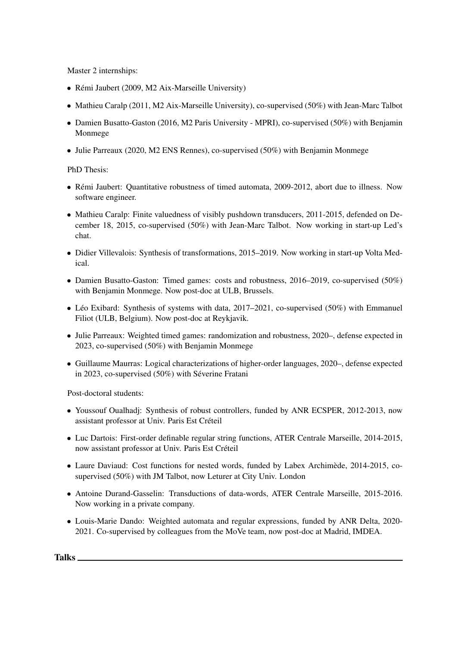Master 2 internships:

- Rémi Jaubert (2009, M2 Aix-Marseille University)
- Mathieu Caralp (2011, M2 Aix-Marseille University), co-supervised (50%) with Jean-Marc Talbot
- Damien Busatto-Gaston (2016, M2 Paris University MPRI), co-supervised (50%) with Benjamin Monmege
- Julie Parreaux (2020, M2 ENS Rennes), co-supervised (50%) with Benjamin Monmege

PhD Thesis:

- Rémi Jaubert: Quantitative robustness of timed automata, 2009-2012, abort due to illness. Now software engineer.
- Mathieu Caralp: Finite valuedness of visibly pushdown transducers, 2011-2015, defended on December 18, 2015, co-supervised (50%) with Jean-Marc Talbot. Now working in start-up Led's chat.
- Didier Villevalois: Synthesis of transformations, 2015–2019. Now working in start-up Volta Medical.
- Damien Busatto-Gaston: Timed games: costs and robustness, 2016–2019, co-supervised (50%) with Benjamin Monmege. Now post-doc at ULB, Brussels.
- Léo Exibard: Synthesis of systems with data, 2017–2021, co-supervised (50%) with Emmanuel Filiot (ULB, Belgium). Now post-doc at Reykjavik.
- Julie Parreaux: Weighted timed games: randomization and robustness, 2020–, defense expected in 2023, co-supervised (50%) with Benjamin Monmege
- Guillaume Maurras: Logical characterizations of higher-order languages, 2020–, defense expected in 2023, co-supervised (50%) with Séverine Fratani

Post-doctoral students:

- Youssouf Oualhadj: Synthesis of robust controllers, funded by ANR ECSPER, 2012-2013, now assistant professor at Univ. Paris Est Créteil
- Luc Dartois: First-order definable regular string functions, ATER Centrale Marseille, 2014-2015, now assistant professor at Univ. Paris Est Créteil
- Laure Daviaud: Cost functions for nested words, funded by Labex Archimède, 2014-2015, cosupervised (50%) with JM Talbot, now Leturer at City Univ. London
- Antoine Durand-Gasselin: Transductions of data-words, ATER Centrale Marseille, 2015-2016. Now working in a private company.
- Louis-Marie Dando: Weighted automata and regular expressions, funded by ANR Delta, 2020- 2021. Co-supervised by colleagues from the MoVe team, now post-doc at Madrid, IMDEA.

Talks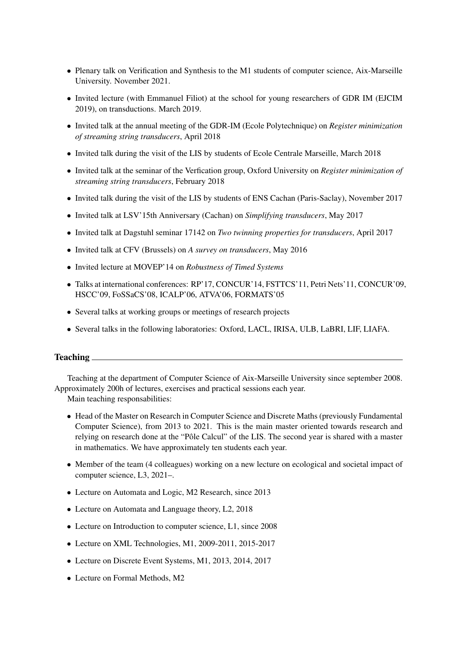- Plenary talk on Verification and Synthesis to the M1 students of computer science, Aix-Marseille University. November 2021.
- Invited lecture (with Emmanuel Filiot) at the school for young researchers of GDR IM (EJCIM 2019), on transductions. March 2019.
- Invited talk at the annual meeting of the GDR-IM (Ecole Polytechnique) on *Register minimization of streaming string transducers*, April 2018
- Invited talk during the visit of the LIS by students of Ecole Centrale Marseille, March 2018
- Invited talk at the seminar of the Verfication group, Oxford University on *Register minimization of streaming string transducers*, February 2018
- Invited talk during the visit of the LIS by students of ENS Cachan (Paris-Saclay), November 2017
- Invited talk at LSV'15th Anniversary (Cachan) on *Simplifying transducers*, May 2017
- Invited talk at Dagstuhl seminar 17142 on *Two twinning properties for transducers*, April 2017
- Invited talk at CFV (Brussels) on *A survey on transducers*, May 2016
- Invited lecture at MOVEP'14 on *Robustness of Timed Systems*
- Talks at international conferences: RP'17, CONCUR'14, FSTTCS'11, Petri Nets'11, CONCUR'09, HSCC'09, FoSSaCS'08, ICALP'06, ATVA'06, FORMATS'05
- Several talks at working groups or meetings of research projects
- Several talks in the following laboratories: Oxford, LACL, IRISA, ULB, LaBRI, LIF, LIAFA.

#### Teaching

Teaching at the department of Computer Science of Aix-Marseille University since september 2008. Approximately 200h of lectures, exercises and practical sessions each year.

Main teaching responsabilities:

- Head of the Master on Research in Computer Science and Discrete Maths (previously Fundamental Computer Science), from 2013 to 2021. This is the main master oriented towards research and relying on research done at the "Pôle Calcul" of the LIS. The second year is shared with a master in mathematics. We have approximately ten students each year.
- Member of the team (4 colleagues) working on a new lecture on ecological and societal impact of computer science, L3, 2021–.
- Lecture on Automata and Logic, M2 Research, since 2013
- Lecture on Automata and Language theory, L2, 2018
- Lecture on Introduction to computer science, L1, since 2008
- Lecture on XML Technologies, M1, 2009-2011, 2015-2017
- Lecture on Discrete Event Systems, M1, 2013, 2014, 2017
- Lecture on Formal Methods, M2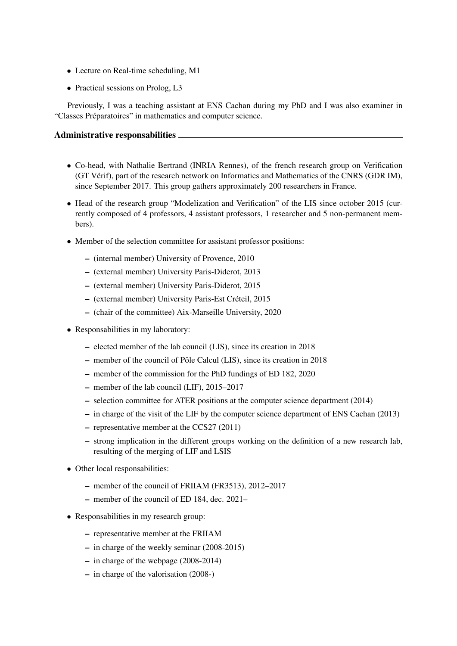- Lecture on Real-time scheduling, M1
- Practical sessions on Prolog, L3

Previously, I was a teaching assistant at ENS Cachan during my PhD and I was also examiner in "Classes Préparatoires" in mathematics and computer science.

## Administrative responsabilities

- Co-head, with Nathalie Bertrand (INRIA Rennes), of the french research group on Verification (GT Vérif), part of the research network on Informatics and Mathematics of the CNRS (GDR IM), since September 2017. This group gathers approximately 200 researchers in France.
- Head of the research group "Modelization and Verification" of the LIS since october 2015 (currently composed of 4 professors, 4 assistant professors, 1 researcher and 5 non-permanent members).
- Member of the selection committee for assistant professor positions:
	- (internal member) University of Provence, 2010
	- (external member) University Paris-Diderot, 2013
	- (external member) University Paris-Diderot, 2015
	- (external member) University Paris-Est Créteil, 2015
	- (chair of the committee) Aix-Marseille University, 2020
- Responsabilities in my laboratory:
	- elected member of the lab council (LIS), since its creation in 2018
	- member of the council of Pôle Calcul (LIS), since its creation in 2018
	- member of the commission for the PhD fundings of ED 182, 2020
	- member of the lab council (LIF), 2015–2017
	- selection committee for ATER positions at the computer science department (2014)
	- in charge of the visit of the LIF by the computer science department of ENS Cachan (2013)
	- representative member at the CCS27 (2011)
	- strong implication in the different groups working on the definition of a new research lab, resulting of the merging of LIF and LSIS
- Other local responsabilities:
	- member of the council of FRIIAM (FR3513), 2012–2017
	- member of the council of ED 184, dec. 2021–
- Responsabilities in my research group:
	- representative member at the FRIIAM
	- in charge of the weekly seminar (2008-2015)
	- in charge of the webpage (2008-2014)
	- in charge of the valorisation (2008-)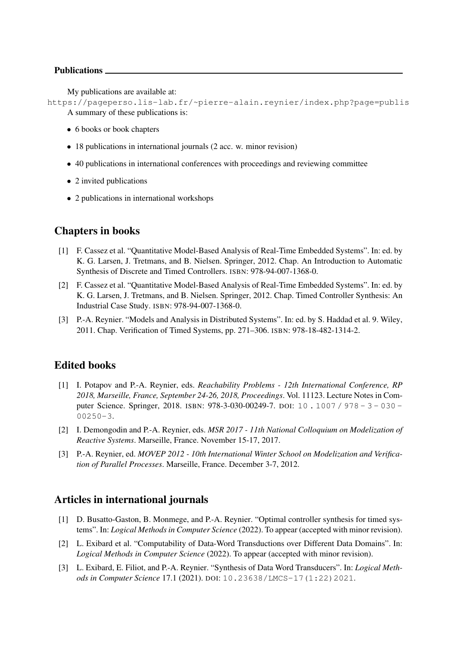### Publications

My publications are available at:

https://pageperso.lis-lab.fr/~pierre-alain.reynier/index.php?page=publis A summary of these publications is:

- 6 books or book chapters
- 18 publications in international journals (2 acc. w. minor revision)
- 40 publications in international conferences with proceedings and reviewing committee
- 2 invited publications
- 2 publications in international workshops

## Chapters in books

- [1] F. Cassez et al. "Quantitative Model-Based Analysis of Real-Time Embedded Systems". In: ed. by K. G. Larsen, J. Tretmans, and B. Nielsen. Springer, 2012. Chap. An Introduction to Automatic Synthesis of Discrete and Timed Controllers. ISBN: 978-94-007-1368-0.
- [2] F. Cassez et al. "Quantitative Model-Based Analysis of Real-Time Embedded Systems". In: ed. by K. G. Larsen, J. Tretmans, and B. Nielsen. Springer, 2012. Chap. Timed Controller Synthesis: An Industrial Case Study. ISBN: 978-94-007-1368-0.
- [3] P.-A. Reynier. "Models and Analysis in Distributed Systems". In: ed. by S. Haddad et al. 9. Wiley, 2011. Chap. Verification of Timed Systems, pp. 271–306. ISBN: 978-18-482-1314-2.

## Edited books

- [1] I. Potapov and P.-A. Reynier, eds. *Reachability Problems 12th International Conference, RP 2018, Marseille, France, September 24-26, 2018, Proceedings*. Vol. 11123. Lecture Notes in Computer Science. Springer, 2018. ISBN: 978-3-030-00249-7. DOI: 10 . 1007 / 978 - 3 - 030 -00250-3.
- [2] I. Demongodin and P.-A. Reynier, eds. *MSR 2017 11th National Colloquium on Modelization of Reactive Systems*. Marseille, France. November 15-17, 2017.
- [3] P.-A. Reynier, ed. *MOVEP 2012 10th International Winter School on Modelization and Verification of Parallel Processes*. Marseille, France. December 3-7, 2012.

## Articles in international journals

- [1] D. Busatto-Gaston, B. Monmege, and P.-A. Reynier. "Optimal controller synthesis for timed systems". In: *Logical Methods in Computer Science* (2022). To appear (accepted with minor revision).
- [2] L. Exibard et al. "Computability of Data-Word Transductions over Different Data Domains". In: *Logical Methods in Computer Science* (2022). To appear (accepted with minor revision).
- [3] L. Exibard, E. Filiot, and P.-A. Reynier. "Synthesis of Data Word Transducers". In: *Logical Methods in Computer Science* 17.1 (2021). DOI: 10.23638/LMCS-17(1:22)2021.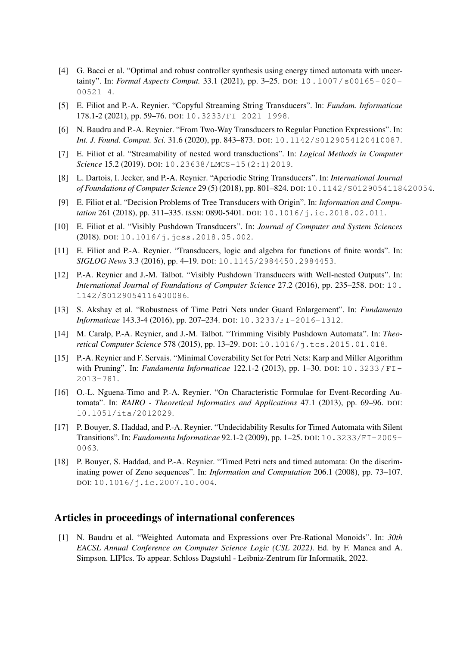- [4] G. Bacci et al. "Optimal and robust controller synthesis using energy timed automata with uncertainty". In: *Formal Aspects Comput.* 33.1 (2021), pp. 3–25. DOI: 10.1007/s00165- 020-  $00521 - 4.$
- [5] E. Filiot and P.-A. Reynier. "Copyful Streaming String Transducers". In: *Fundam. Informaticae* 178.1-2 (2021), pp. 59–76. DOI: 10.3233/FI-2021-1998.
- [6] N. Baudru and P.-A. Reynier. "From Two-Way Transducers to Regular Function Expressions". In: *Int. J. Found. Comput. Sci.* 31.6 (2020), pp. 843–873. DOI: 10.1142/S0129054120410087.
- [7] E. Filiot et al. "Streamability of nested word transductions". In: *Logical Methods in Computer Science* 15.2 (2019). DOI: 10.23638/LMCS-15(2:1)2019.
- [8] L. Dartois, I. Jecker, and P.-A. Reynier. "Aperiodic String Transducers". In: *International Journal of Foundations of Computer Science* 29 (5) (2018), pp. 801–824. DOI: 10.1142/S0129054118420054.
- [9] E. Filiot et al. "Decision Problems of Tree Transducers with Origin". In: *Information and Computation* 261 (2018), pp. 311–335. ISSN: 0890-5401. DOI: 10.1016/j.ic.2018.02.011.
- [10] E. Filiot et al. "Visibly Pushdown Transducers". In: *Journal of Computer and System Sciences* (2018). DOI: 10.1016/j.jcss.2018.05.002.
- [11] E. Filiot and P.-A. Reynier. "Transducers, logic and algebra for functions of finite words". In: *SIGLOG News* 3.3 (2016), pp. 4–19. DOI: 10.1145/2984450.2984453.
- [12] P.-A. Reynier and J.-M. Talbot. "Visibly Pushdown Transducers with Well-nested Outputs". In: *International Journal of Foundations of Computer Science* 27.2 (2016), pp. 235–258. DOI: 10. 1142/S0129054116400086.
- [13] S. Akshay et al. "Robustness of Time Petri Nets under Guard Enlargement". In: *Fundamenta Informaticae* 143.3-4 (2016), pp. 207–234. DOI: 10.3233/FI-2016-1312.
- [14] M. Caralp, P.-A. Reynier, and J.-M. Talbot. "Trimming Visibly Pushdown Automata". In: *Theoretical Computer Science* 578 (2015), pp. 13–29. DOI: 10.1016/j.tcs.2015.01.018.
- [15] P.-A. Reynier and F. Servais. "Minimal Coverability Set for Petri Nets: Karp and Miller Algorithm with Pruning". In: *Fundamenta Informaticae* 122.1-2 (2013), pp. 1–30. DOI: 10.3233/FI-2013-781.
- [16] O.-L. Nguena-Timo and P.-A. Reynier. "On Characteristic Formulae for Event-Recording Automata". In: *RAIRO - Theoretical Informatics and Applications* 47.1 (2013), pp. 69–96. DOI: 10.1051/ita/2012029.
- [17] P. Bouyer, S. Haddad, and P.-A. Reynier. "Undecidability Results for Timed Automata with Silent Transitions". In: *Fundamenta Informaticae* 92.1-2 (2009), pp. 1–25. DOI: 10.3233/FI-2009- 0063.
- [18] P. Bouyer, S. Haddad, and P.-A. Reynier. "Timed Petri nets and timed automata: On the discriminating power of Zeno sequences". In: *Information and Computation* 206.1 (2008), pp. 73–107. DOI: 10.1016/j.ic.2007.10.004.

## Articles in proceedings of international conferences

[1] N. Baudru et al. "Weighted Automata and Expressions over Pre-Rational Monoids". In: *30th EACSL Annual Conference on Computer Science Logic (CSL 2022)*. Ed. by F. Manea and A. Simpson. LIPIcs. To appear. Schloss Dagstuhl - Leibniz-Zentrum für Informatik, 2022.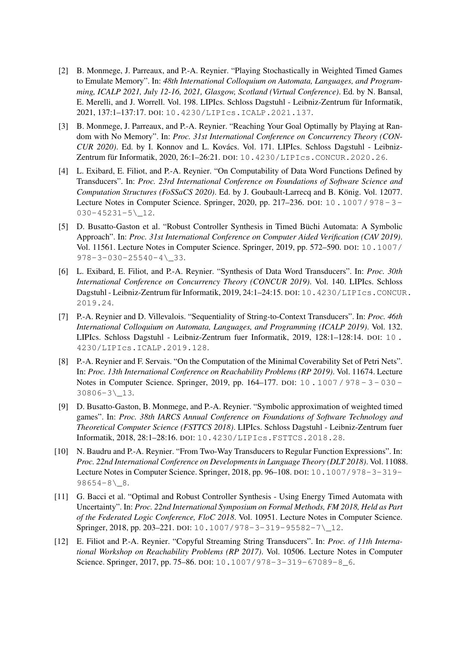- [2] B. Monmege, J. Parreaux, and P.-A. Reynier. "Playing Stochastically in Weighted Timed Games to Emulate Memory". In: *48th International Colloquium on Automata, Languages, and Programming, ICALP 2021, July 12-16, 2021, Glasgow, Scotland (Virtual Conference)*. Ed. by N. Bansal, E. Merelli, and J. Worrell. Vol. 198. LIPIcs. Schloss Dagstuhl - Leibniz-Zentrum für Informatik, 2021, 137:1–137:17. DOI: 10.4230/LIPIcs.ICALP.2021.137.
- [3] B. Monmege, J. Parreaux, and P.-A. Reynier. "Reaching Your Goal Optimally by Playing at Random with No Memory". In: *Proc. 31st International Conference on Concurrency Theory (CON-CUR 2020)*. Ed. by I. Konnov and L. Kovács. Vol. 171. LIPIcs. Schloss Dagstuhl - Leibniz-Zentrum für Informatik, 2020, 26:1–26:21. DOI: 10.4230/LIPIcs.CONCUR.2020.26.
- [4] L. Exibard, E. Filiot, and P.-A. Reynier. "On Computability of Data Word Functions Defined by Transducers". In: *Proc. 23rd International Conference on Foundations of Software Science and Computation Structures (FoSSaCS 2020)*. Ed. by J. Goubault-Larrecq and B. König. Vol. 12077. Lecture Notes in Computer Science. Springer, 2020, pp. 217–236. DOI: 10.1007/978- 3- 030-45231-5\\_12.
- [5] D. Busatto-Gaston et al. "Robust Controller Synthesis in Timed Büchi Automata: A Symbolic Approach". In: *Proc. 31st International Conference on Computer Aided Verification (CAV 2019)*. Vol. 11561. Lecture Notes in Computer Science. Springer, 2019, pp. 572–590. DOI: 10.1007/  $978 - 3 - 030 - 25540 - 4 \angle 33.$
- [6] L. Exibard, E. Filiot, and P.-A. Reynier. "Synthesis of Data Word Transducers". In: *Proc. 30th International Conference on Concurrency Theory (CONCUR 2019)*. Vol. 140. LIPIcs. Schloss Dagstuhl - Leibniz-Zentrum für Informatik, 2019, 24:1–24:15. DOI: 10.4230/LIPIcs.CONCUR. 2019.24.
- [7] P.-A. Reynier and D. Villevalois. "Sequentiality of String-to-Context Transducers". In: *Proc. 46th International Colloquium on Automata, Languages, and Programming (ICALP 2019)*. Vol. 132. LIPIcs. Schloss Dagstuhl - Leibniz-Zentrum fuer Informatik, 2019, 128:1–128:14. DOI: 10 . 4230/LIPIcs.ICALP.2019.128.
- [8] P.-A. Reynier and F. Servais. "On the Computation of the Minimal Coverability Set of Petri Nets". In: *Proc. 13th International Conference on Reachability Problems (RP 2019)*. Vol. 11674. Lecture Notes in Computer Science. Springer, 2019, pp. 164–177. DOI: 10 . 1007 / 978 - 3 - 030 -30806-3\\_13.
- [9] D. Busatto-Gaston, B. Monmege, and P.-A. Reynier. "Symbolic approximation of weighted timed games". In: *Proc. 38th IARCS Annual Conference on Foundations of Software Technology and Theoretical Computer Science (FSTTCS 2018)*. LIPIcs. Schloss Dagstuhl - Leibniz-Zentrum fuer Informatik, 2018, 28:1–28:16. DOI: 10.4230/LIPIcs.FSTTCS.2018.28.
- [10] N. Baudru and P.-A. Reynier. "From Two-Way Transducers to Regular Function Expressions". In: *Proc. 22nd International Conference on Developments in Language Theory (DLT 2018)*. Vol. 11088. Lecture Notes in Computer Science. Springer, 2018, pp. 96–108. DOI: 10.1007/978-3-319-  $98654-8\angle 8.$
- [11] G. Bacci et al. "Optimal and Robust Controller Synthesis Using Energy Timed Automata with Uncertainty". In: *Proc. 22nd International Symposium on Formal Methods, FM 2018, Held as Part of the Federated Logic Conference, FloC 2018*. Vol. 10951. Lecture Notes in Computer Science. Springer, 2018, pp. 203–221. DOI: 10.1007/978-3-319-95582-7\\_12.
- [12] E. Filiot and P.-A. Reynier. "Copyful Streaming String Transducers". In: *Proc. of 11th International Workshop on Reachability Problems (RP 2017)*. Vol. 10506. Lecture Notes in Computer Science. Springer, 2017, pp. 75–86. DOI: 10.1007/978-3-319-67089-8\_6.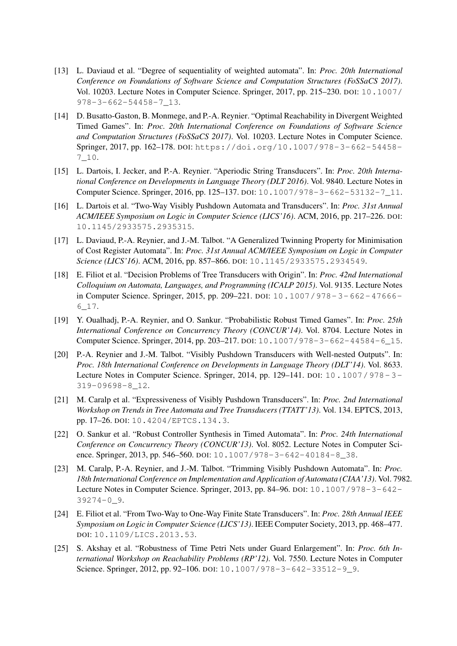- [13] L. Daviaud et al. "Degree of sequentiality of weighted automata". In: *Proc. 20th International Conference on Foundations of Software Science and Computation Structures (FoSSaCS 2017)*. Vol. 10203. Lecture Notes in Computer Science. Springer, 2017, pp. 215–230. DOI: 10.1007/ 978-3-662-54458-7\_13.
- [14] D. Busatto-Gaston, B. Monmege, and P.-A. Reynier. "Optimal Reachability in Divergent Weighted Timed Games". In: *Proc. 20th International Conference on Foundations of Software Science and Computation Structures (FoSSaCS 2017)*. Vol. 10203. Lecture Notes in Computer Science. Springer, 2017, pp. 162–178. DOI: https://doi.org/10.1007/978-3-662-54458- 7\_10.
- [15] L. Dartois, I. Jecker, and P.-A. Reynier. "Aperiodic String Transducers". In: *Proc. 20th International Conference on Developments in Language Theory (DLT 2016)*. Vol. 9840. Lecture Notes in Computer Science. Springer, 2016, pp. 125–137. DOI: 10.1007/978-3-662-53132-7\_11.
- [16] L. Dartois et al. "Two-Way Visibly Pushdown Automata and Transducers". In: *Proc. 31st Annual ACM/IEEE Symposium on Logic in Computer Science (LICS'16)*. ACM, 2016, pp. 217–226. DOI: 10.1145/2933575.2935315.
- [17] L. Daviaud, P.-A. Reynier, and J.-M. Talbot. "A Generalized Twinning Property for Minimisation of Cost Register Automata". In: *Proc. 31st Annual ACM/IEEE Symposium on Logic in Computer Science (LICS'16)*. ACM, 2016, pp. 857–866. DOI: 10.1145/2933575.2934549.
- [18] E. Filiot et al. "Decision Problems of Tree Transducers with Origin". In: *Proc. 42nd International Colloquium on Automata, Languages, and Programming (ICALP 2015)*. Vol. 9135. Lecture Notes in Computer Science. Springer, 2015, pp. 209–221. DOI: 10.1007/978- 3- 662- 47666- 6\_17.
- [19] Y. Oualhadj, P.-A. Reynier, and O. Sankur. "Probabilistic Robust Timed Games". In: *Proc. 25th International Conference on Concurrency Theory (CONCUR'14)*. Vol. 8704. Lecture Notes in Computer Science. Springer, 2014, pp. 203–217. DOI: 10.1007/978-3-662-44584-6\_15.
- [20] P.-A. Reynier and J.-M. Talbot. "Visibly Pushdown Transducers with Well-nested Outputs". In: *Proc. 18th International Conference on Developments in Language Theory (DLT'14)*. Vol. 8633. Lecture Notes in Computer Science. Springer, 2014, pp. 129–141. DOI: 10.1007/978- 3- 319-09698-8\_12.
- [21] M. Caralp et al. "Expressiveness of Visibly Pushdown Transducers". In: *Proc. 2nd International Workshop on Trends in Tree Automata and Tree Transducers (TTATT'13)*. Vol. 134. EPTCS, 2013, pp. 17–26. DOI: 10.4204/EPTCS.134.3.
- [22] O. Sankur et al. "Robust Controller Synthesis in Timed Automata". In: *Proc. 24th International Conference on Concurrency Theory (CONCUR'13)*. Vol. 8052. Lecture Notes in Computer Science. Springer, 2013, pp. 546–560. DOI: 10.1007/978-3-642-40184-8\_38.
- [23] M. Caralp, P.-A. Reynier, and J.-M. Talbot. "Trimming Visibly Pushdown Automata". In: *Proc. 18th International Conference on Implementation and Application of Automata (CIAA'13)*. Vol. 7982. Lecture Notes in Computer Science. Springer, 2013, pp. 84–96. DOI: 10.1007/978-3-642- 39274-0\_9.
- [24] E. Filiot et al. "From Two-Way to One-Way Finite State Transducers". In: *Proc. 28th Annual IEEE Symposium on Logic in Computer Science (LICS'13)*. IEEE Computer Society, 2013, pp. 468–477. DOI: 10.1109/LICS.2013.53.
- [25] S. Akshay et al. "Robustness of Time Petri Nets under Guard Enlargement". In: *Proc. 6th International Workshop on Reachability Problems (RP'12)*. Vol. 7550. Lecture Notes in Computer Science. Springer, 2012, pp. 92–106. DOI: 10.1007/978-3-642-33512-9\_9.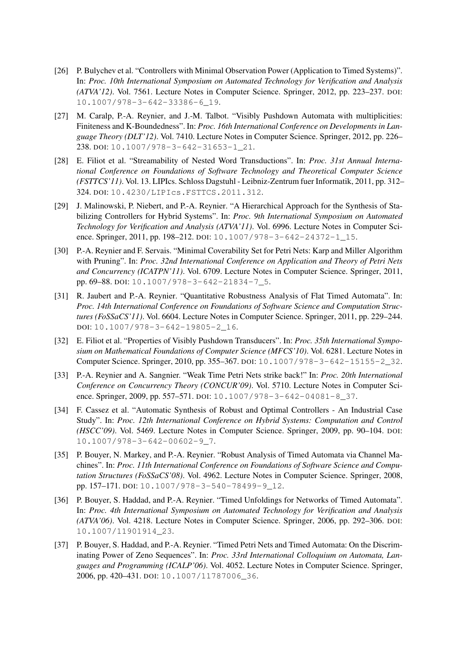- [26] P. Bulychev et al. "Controllers with Minimal Observation Power (Application to Timed Systems)". In: *Proc. 10th International Symposium on Automated Technology for Verification and Analysis (ATVA'12)*. Vol. 7561. Lecture Notes in Computer Science. Springer, 2012, pp. 223–237. DOI: 10.1007/978-3-642-33386-6\_19.
- [27] M. Caralp, P.-A. Reynier, and J.-M. Talbot. "Visibly Pushdown Automata with multiplicities: Finiteness and K-Boundedness". In: *Proc. 16th International Conference on Developments in Language Theory (DLT'12)*. Vol. 7410. Lecture Notes in Computer Science. Springer, 2012, pp. 226– 238. DOI: 10.1007/978-3-642-31653-1\_21.
- [28] E. Filiot et al. "Streamability of Nested Word Transductions". In: *Proc. 31st Annual International Conference on Foundations of Software Technology and Theoretical Computer Science (FSTTCS'11)*. Vol. 13. LIPIcs. Schloss Dagstuhl - Leibniz-Zentrum fuer Informatik, 2011, pp. 312– 324. DOI: 10.4230/LIPIcs.FSTTCS.2011.312.
- [29] J. Malinowski, P. Niebert, and P.-A. Reynier. "A Hierarchical Approach for the Synthesis of Stabilizing Controllers for Hybrid Systems". In: *Proc. 9th International Symposium on Automated Technology for Verification and Analysis (ATVA'11)*. Vol. 6996. Lecture Notes in Computer Science. Springer, 2011, pp. 198–212. DOI: 10.1007/978-3-642-24372-1\_15.
- [30] P.-A. Reynier and F. Servais. "Minimal Coverability Set for Petri Nets: Karp and Miller Algorithm with Pruning". In: *Proc. 32nd International Conference on Application and Theory of Petri Nets and Concurrency (ICATPN'11)*. Vol. 6709. Lecture Notes in Computer Science. Springer, 2011, pp. 69–88. DOI: 10.1007/978-3-642-21834-7\_5.
- [31] R. Jaubert and P.-A. Reynier. "Quantitative Robustness Analysis of Flat Timed Automata". In: *Proc. 14th International Conference on Foundations of Software Science and Computation Structures (FoSSaCS'11)*. Vol. 6604. Lecture Notes in Computer Science. Springer, 2011, pp. 229–244. DOI: 10.1007/978-3-642-19805-2\_16.
- [32] E. Filiot et al. "Properties of Visibly Pushdown Transducers". In: *Proc. 35th International Symposium on Mathematical Foundations of Computer Science (MFCS'10)*. Vol. 6281. Lecture Notes in Computer Science. Springer, 2010, pp. 355–367. DOI: 10.1007/978-3-642-15155-2\_32.
- [33] P.-A. Reynier and A. Sangnier. "Weak Time Petri Nets strike back!" In: *Proc. 20th International Conference on Concurrency Theory (CONCUR'09)*. Vol. 5710. Lecture Notes in Computer Science. Springer, 2009, pp. 557–571. DOI: 10.1007/978-3-642-04081-8\_37.
- [34] F. Cassez et al. "Automatic Synthesis of Robust and Optimal Controllers An Industrial Case Study". In: *Proc. 12th International Conference on Hybrid Systems: Computation and Control (HSCC'09)*. Vol. 5469. Lecture Notes in Computer Science. Springer, 2009, pp. 90–104. DOI: 10.1007/978-3-642-00602-9\_7.
- [35] P. Bouyer, N. Markey, and P.-A. Reynier. "Robust Analysis of Timed Automata via Channel Machines". In: *Proc. 11th International Conference on Foundations of Software Science and Computation Structures (FoSSaCS'08)*. Vol. 4962. Lecture Notes in Computer Science. Springer, 2008, pp. 157–171. DOI: 10.1007/978-3-540-78499-9\_12.
- [36] P. Bouyer, S. Haddad, and P.-A. Reynier. "Timed Unfoldings for Networks of Timed Automata". In: *Proc. 4th International Symposium on Automated Technology for Verification and Analysis (ATVA'06)*. Vol. 4218. Lecture Notes in Computer Science. Springer, 2006, pp. 292–306. DOI: 10.1007/11901914\_23.
- [37] P. Bouyer, S. Haddad, and P.-A. Reynier. "Timed Petri Nets and Timed Automata: On the Discriminating Power of Zeno Sequences". In: *Proc. 33rd International Colloquium on Automata, Languages and Programming (ICALP'06)*. Vol. 4052. Lecture Notes in Computer Science. Springer, 2006, pp. 420–431. DOI: 10.1007/11787006\_36.